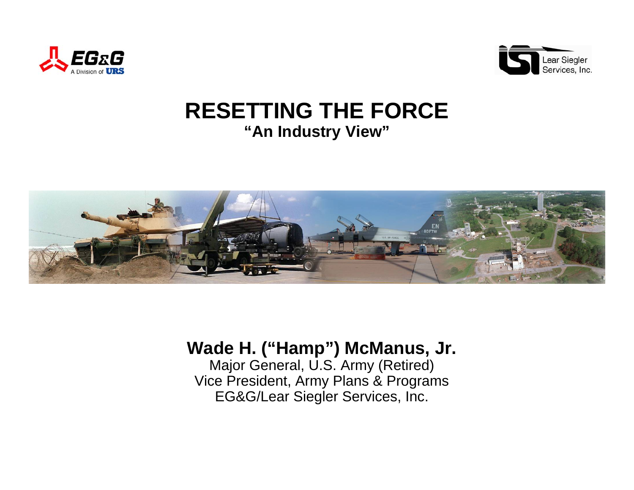



## **RESETTING THE FORCE"An Industry View"**



### **Wade H. ("Hamp") McManus, Jr.**

Major General, U.S. Army (Retired) Vice President, Army Plans & Programs EG&G/Lear Siegler Services, Inc.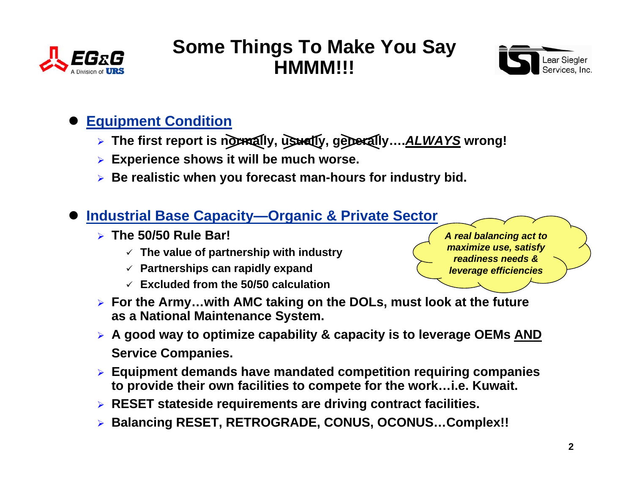



### $\bullet$ **Equipment Condition**

- ¾ **The first report is normally, usually, generally….***ALWAYS* **wrong!**
- ¾ **Experience shows it will be much worse.**
- ¾ **Be realistic when you forecast man-hours for industry bid.**

#### $\bullet$ **Industrial Base Capacity—Organic & Private Sector**

- ¾ **The 50/50 Rule Bar!**
	- 9 **The value of partnership with industry**
	- 9 **Partnerships can rapidly expand**
	- 9 **Excluded from the 50/50 calculation**



- ¾ **For the Army…with AMC taking on the DOLs, must look at the future as a National Maintenance System.**
- ¾ **A good way to optimize capability & capacity is to leverage OEMs AND Service Companies.**
- ¾ **Equipment demands have mandated competition requiring companies to provide their own facilities to compete for the work…i.e. Kuwait.**
- ¾ **RESET stateside requirements are driving contract facilities.**
- ¾ **Balancing RESET, RETROGRADE, CONUS, OCONUS…Complex!!**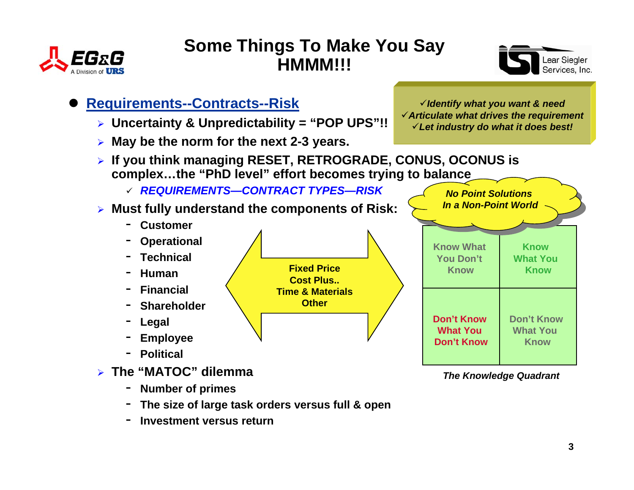





- ¾ **Uncertainty & Unpredictability = "POP UPS"!!**
- ¾ **May be the norm for the next 2-3 years.**

*No Point Solutions*

- ¾ **If you think managing RESET, RETROGRADE, CONUS, OCONUS is complex…the "PhD level" effort becomes trying to balance**
	- 9 *REQUIREMENTS—CONTRACT TYPES—RISK*
- ¾ **Must fully understand the components of Risk:**
	- -**Customer**
	- -**Operational**
	- -**Technical**
	- -**Human**
	- -**Financial**
	- -**Shareholder**
	- -**Legal**
	- -**Employee**
	- -**Political**
- ¾ **The "MATOC" dilemma**
	- -**Number of primes**
	- -**The size of large task orders versus full & open**
	- -**Investment versus return**



*The Knowledge Quadrant*

<sup>9</sup>*Identify what you want & need* <sup>9</sup>*Articulate what drives the requirement* 9*Let industry do what it does best!*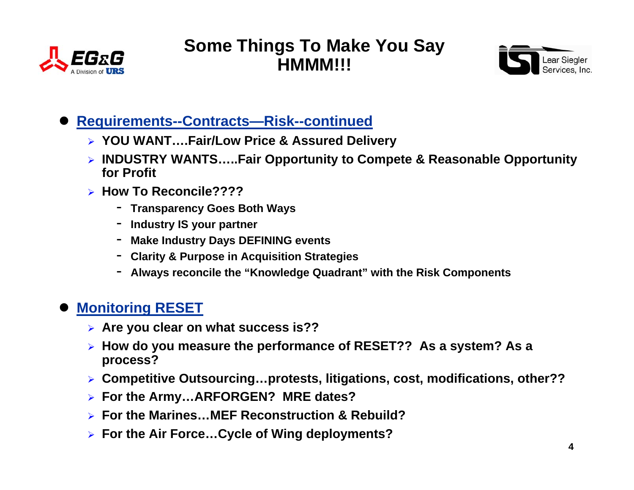



#### $\bullet$ **Requirements--Contracts—Risk--continued**

- ¾ **YOU WANT….Fair/Low Price & Assured Delivery**
- ¾ **INDUSTRY WANTS…..Fair Opportunity to Compete & Reasonable Opportunity for Profit**
- ¾ **How To Reconcile????**
	- **Transparency Goes Both Ways**
	- **Industry IS your partner**
	- **Make Industry Days DEFINING events**
	- **Clarity & Purpose in Acquisition Strategies**
	- **Always reconcile the "Knowledge Quadrant" with the Risk Components**

### $\bullet$ **Monitoring RESET**

- ¾ **Are you clear on what success is??**
- ¾ **How do you measure the performance of RESET?? As a system? As a process?**
- ¾ **Competitive Outsourcing…protests, litigations, cost, modifications, other??**
- ¾ **For the Army…ARFORGEN? MRE dates?**
- ¾ **For the Marines…MEF Reconstruction & Rebuild?**
- ¾ **For the Air Force…Cycle of Wing deployments?**